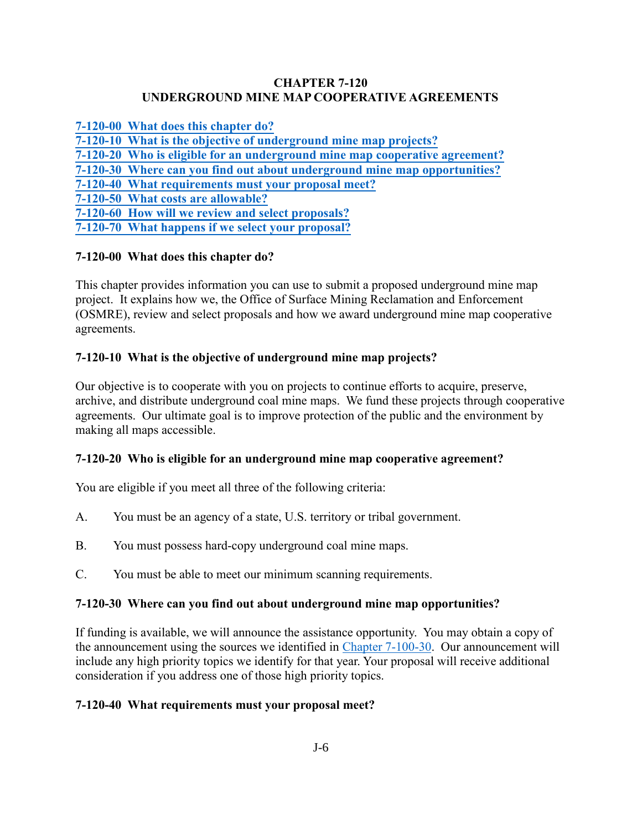#### **CHAPTER 7-120 UNDERGROUND MINE MAP COOPERATIVE AGREEMENTS**

**[7-120-00 What does this chapter do?](#page-0-0)**

**[7-120-10 What is the objective of underground mine map projects?](#page-0-1)**

**[7-120-20 Who is eligible for an underground mine map cooperative agreement?](#page-0-2)**

**[7-120-30 Where can you find out about underground mine map opportunities?](#page-0-3)**

<span id="page-0-0"></span>**[7-120-40 What requirements must your proposal meet?](#page-0-4)**

**[7-120-50 What costs are allowable?](#page-1-0)**

**[7-120-60 How will we review and select proposals?](#page-1-1)**

**[7-120-70 What happens if we select your proposal?](#page-1-2)**

### **7-120-00 What does this chapter do?**

This chapter provides information you can use to submit a proposed underground mine map project. It explains how we, the Office of Surface Mining Reclamation and Enforcement (OSMRE), review and select proposals and how we award underground mine map cooperative agreements.

# <span id="page-0-1"></span>**7-120-10 What is the objective of underground mine map projects?**

Our objective is to cooperate with you on projects to continue efforts to acquire, preserve, archive, and distribute underground coal mine maps. We fund these projects through cooperative agreements. Our ultimate goal is to improve protection of the public and the environment by making all maps accessible.

### <span id="page-0-2"></span>**7-120-20 Who is eligible for an underground mine map cooperative agreement?**

You are eligible if you meet all three of the following criteria:

- A. You must be an agency of a state, U.S. territory or tribal government.
- B. You must possess hard-copy underground coal mine maps.
- C. You must be able to meet our minimum scanning requirements.

### <span id="page-0-3"></span>**7-120-30 Where can you find out about underground mine map opportunities?**

If funding is available, we will announce the assistance opportunity. You may obtain a copy of the announcement using the sources we identified in [Chapter 7-100-30.](https://www.osmre.gov/lrg/fam/7-100.pdf) Our announcement will include any high priority topics we identify for that year. Your proposal will receive additional consideration if you address one of those high priority topics.

### <span id="page-0-4"></span>**7-120-40 What requirements must your proposal meet?**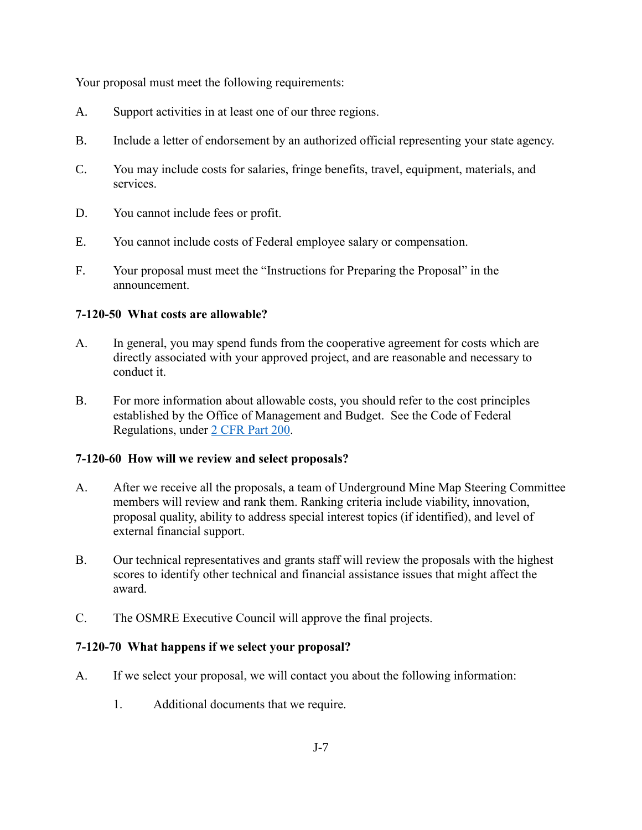Your proposal must meet the following requirements:

- A. Support activities in at least one of our three regions.
- B. Include a letter of endorsement by an authorized official representing your state agency.
- C. You may include costs for salaries, fringe benefits, travel, equipment, materials, and services.
- D. You cannot include fees or profit.
- E. You cannot include costs of Federal employee salary or compensation.
- F. Your proposal must meet the "Instructions for Preparing the Proposal" in the announcement.

### <span id="page-1-0"></span>**7-120-50 What costs are allowable?**

- A. In general, you may spend funds from the cooperative agreement for costs which are directly associated with your approved project, and are reasonable and necessary to conduct it.
- B. For more information about allowable costs, you should refer to the cost principles established by the Office of Management and Budget. See the Code of Federal Regulations, under [2 CFR Part 200.](http://www.ecfr.gov/cgi-bin/text-idx?SID=704683b1fd8e579c28d796d8b73e0e79&node=pt2.1.200&rgn=div5)

### <span id="page-1-1"></span>**7-120-60 How will we review and select proposals?**

- A. After we receive all the proposals, a team of Underground Mine Map Steering Committee members will review and rank them. Ranking criteria include viability, innovation, proposal quality, ability to address special interest topics (if identified), and level of external financial support.
- B. Our technical representatives and grants staff will review the proposals with the highest scores to identify other technical and financial assistance issues that might affect the award.
- C. The OSMRE Executive Council will approve the final projects.

# <span id="page-1-2"></span>**7-120-70 What happens if we select your proposal?**

- A. If we select your proposal, we will contact you about the following information:
	- 1. Additional documents that we require.